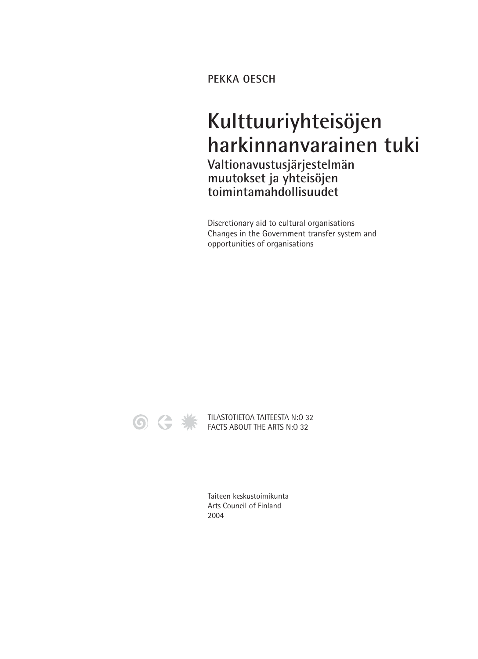**PEKKA OESCH**

## **Kulttuuriyhteisöjen harkinnanvarainen tuki Valtionavustusjärjestelmän muutokset ja yhteisöjen toimintamahdollisuudet**

Discretionary aid to cultural organisations Changes in the Government transfer system and opportunities of organisations



TILASTOTIETOA TAITEESTA N:0 32 FACTS ABOUT THE ARTS N:O 32

> Taiteen keskustoimikunta Arts Council of Finland 2004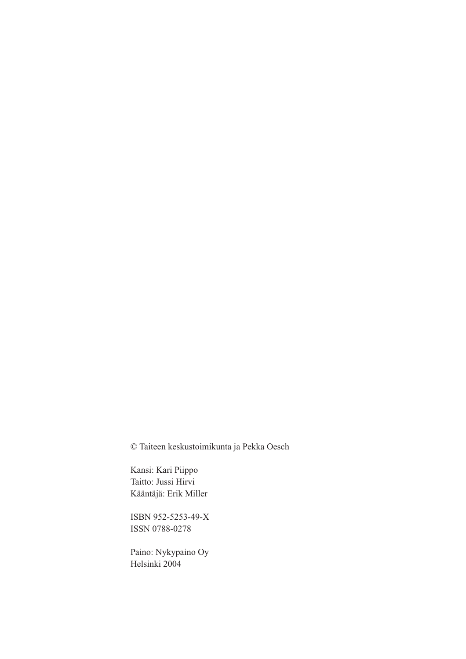© Taiteen keskustoimikunta ja Pekka Oesch

Kansi: Kari Piippo Taitto: Jussi Hirvi Kääntäjä: Erik Miller

ISBN 952-5253-49-X ISSN 0788-0278

Paino: Nykypaino Oy Helsinki 2004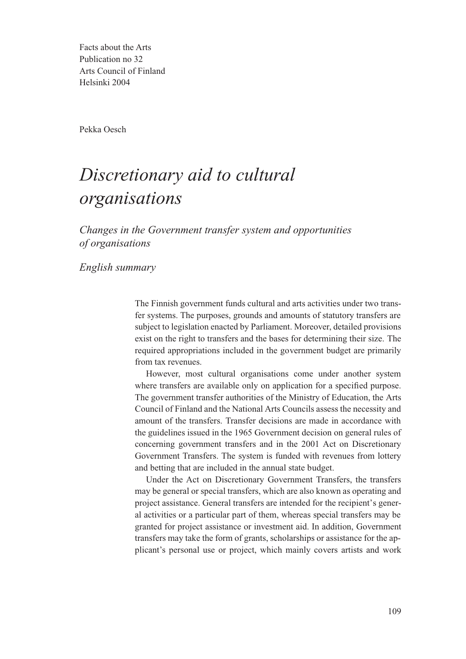Facts about the Arts Publication no 32 Arts Council of Finland Helsinki 2004

Pekka Oesch

## *Discretionary aid to cultural organisations*

*Changes in the Government transfer system and opportunities of organisations* 

*English summary*

The Finnish government funds cultural and arts activities under two transfer systems. The purposes, grounds and amounts of statutory transfers are subject to legislation enacted by Parliament. Moreover, detailed provisions exist on the right to transfers and the bases for determining their size. The required appropriations included in the government budget are primarily from tax revenues.

However, most cultural organisations come under another system where transfers are available only on application for a specified purpose. The government transfer authorities of the Ministry of Education, the Arts Council of Finland and the National Arts Councils assess the necessity and amount of the transfers. Transfer decisions are made in accordance with the guidelines issued in the 1965 Government decision on general rules of concerning government transfers and in the 2001 Act on Discretionary Government Transfers. The system is funded with revenues from lottery and betting that are included in the annual state budget.

Under the Act on Discretionary Government Transfers, the transfers may be general or special transfers, which are also known as operating and project assistance. General transfers are intended for the recipient's general activities or a particular part of them, whereas special transfers may be granted for project assistance or investment aid. In addition, Government transfers may take the form of grants, scholarships or assistance for the applicant's personal use or project, which mainly covers artists and work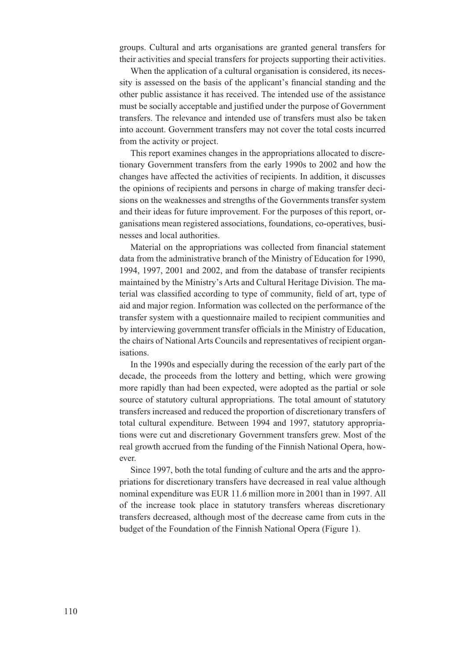groups. Cultural and arts organisations are granted general transfers for their activities and special transfers for projects supporting their activities.

When the application of a cultural organisation is considered, its necessity is assessed on the basis of the applicant's financial standing and the other public assistance it has received. The intended use of the assistance must be socially acceptable and justified under the purpose of Government transfers. The relevance and intended use of transfers must also be taken into account. Government transfers may not cover the total costs incurred from the activity or project.

This report examines changes in the appropriations allocated to discretionary Government transfers from the early 1990s to 2002 and how the changes have affected the activities of recipients. In addition, it discusses the opinions of recipients and persons in charge of making transfer decisions on the weaknesses and strengths of the Governments transfer system and their ideas for future improvement. For the purposes of this report, organisations mean registered associations, foundations, co-operatives, businesses and local authorities.

Material on the appropriations was collected from financial statement data from the administrative branch of the Ministry of Education for 1990, 1994, 1997, 2001 and 2002, and from the database of transfer recipients maintained by the Ministry's Arts and Cultural Heritage Division. The material was classified according to type of community, field of art, type of aid and major region. Information was collected on the performance of the transfer system with a questionnaire mailed to recipient communities and by interviewing government transfer officials in the Ministry of Education, the chairs of National Arts Councils and representatives of recipient organisations.

In the 1990s and especially during the recession of the early part of the decade, the proceeds from the lottery and betting, which were growing more rapidly than had been expected, were adopted as the partial or sole source of statutory cultural appropriations. The total amount of statutory transfers increased and reduced the proportion of discretionary transfers of total cultural expenditure. Between 1994 and 1997, statutory appropriations were cut and discretionary Government transfers grew. Most of the real growth accrued from the funding of the Finnish National Opera, however.

Since 1997, both the total funding of culture and the arts and the appropriations for discretionary transfers have decreased in real value although nominal expenditure was EUR 11.6 million more in 2001 than in 1997. All of the increase took place in statutory transfers whereas discretionary transfers decreased, although most of the decrease came from cuts in the budget of the Foundation of the Finnish National Opera (Figure 1).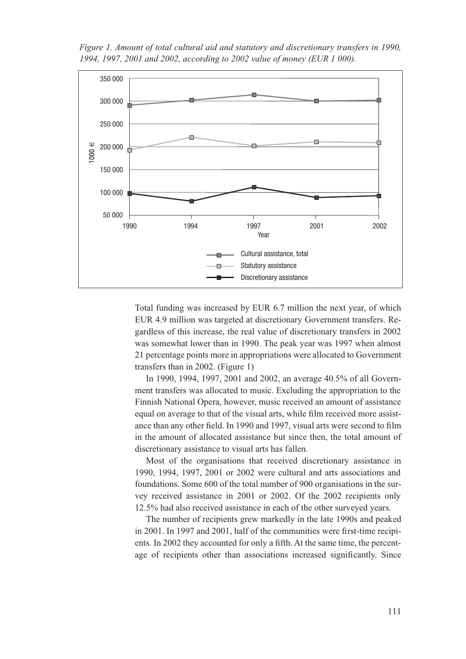*Figure 1. Amount of total cultural aid and statutory and discretionary transfers in 1990, 1994, 1997, 2001 and 2002, according to 2002 value of money (EUR 1 000).*



Total funding was increased by EUR 6.7 million the next year, of which EUR 4.9 million was targeted at discretionary Government transfers. Regardless of this increase, the real value of discretionary transfers in 2002 was somewhat lower than in 1990. The peak year was 1997 when almost 21 percentage points more in appropriations were allocated to Government transfers than in 2002. (Figure 1)

In 1990, 1994, 1997, 2001 and 2002, an average 40.5% of all Government transfers was allocated to music. Excluding the appropriation to the Finnish National Opera, however, music received an amount of assistance equal on average to that of the visual arts, while film received more assistance than any other field. In 1990 and 1997, visual arts were second to film in the amount of allocated assistance but since then, the total amount of discretionary assistance to visual arts has fallen.

Most of the organisations that received discretionary assistance in 1990, 1994, 1997, 2001 or 2002 were cultural and arts associations and foundations. Some 600 of the total number of 900 organisations in the survey received assistance in 2001 or 2002. Of the 2002 recipients only 12.5% had also received assistance in each of the other surveyed years.

The number of recipients grew markedly in the late 1990s and peaked in 2001. In 1997 and 2001, half of the communities were first-time recipients. In 2002 they accounted for only a fifth. At the same time, the percentage of recipients other than associations increased significantly. Since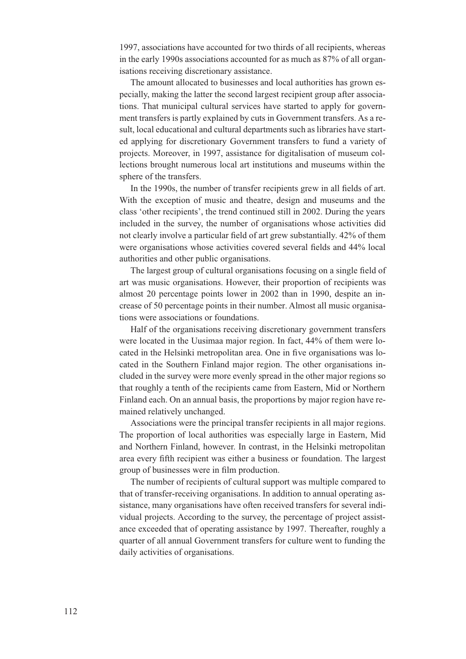1997, associations have accounted for two thirds of all recipients, whereas in the early 1990s associations accounted for as much as 87% of all organisations receiving discretionary assistance.

The amount allocated to businesses and local authorities has grown especially, making the latter the second largest recipient group after associations. That municipal cultural services have started to apply for government transfers is partly explained by cuts in Government transfers. As a result, local educational and cultural departments such as libraries have started applying for discretionary Government transfers to fund a variety of projects. Moreover, in 1997, assistance for digitalisation of museum collections brought numerous local art institutions and museums within the sphere of the transfers.

In the 1990s, the number of transfer recipients grew in all fields of art. With the exception of music and theatre, design and museums and the class 'other recipients', the trend continued still in 2002. During the years included in the survey, the number of organisations whose activities did not clearly involve a particular field of art grew substantially. 42% of them were organisations whose activities covered several fields and 44% local authorities and other public organisations.

The largest group of cultural organisations focusing on a single field of art was music organisations. However, their proportion of recipients was almost 20 percentage points lower in 2002 than in 1990, despite an increase of 50 percentage points in their number. Almost all music organisations were associations or foundations.

Half of the organisations receiving discretionary government transfers were located in the Uusimaa major region. In fact, 44% of them were located in the Helsinki metropolitan area. One in five organisations was located in the Southern Finland major region. The other organisations included in the survey were more evenly spread in the other major regions so that roughly a tenth of the recipients came from Eastern, Mid or Northern Finland each. On an annual basis, the proportions by major region have remained relatively unchanged.

Associations were the principal transfer recipients in all major regions. The proportion of local authorities was especially large in Eastern, Mid and Northern Finland, however. In contrast, in the Helsinki metropolitan area every fifth recipient was either a business or foundation. The largest group of businesses were in film production.

The number of recipients of cultural support was multiple compared to that of transfer-receiving organisations. In addition to annual operating assistance, many organisations have often received transfers for several individual projects. According to the survey, the percentage of project assistance exceeded that of operating assistance by 1997. Thereafter, roughly a quarter of all annual Government transfers for culture went to funding the daily activities of organisations.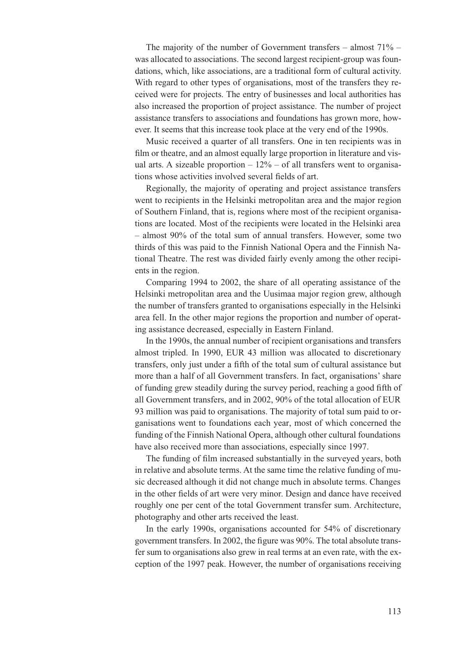The majority of the number of Government transfers  $-$  almost  $71\%$   $$ was allocated to associations. The second largest recipient-group was foundations, which, like associations, are a traditional form of cultural activity. With regard to other types of organisations, most of the transfers they received were for projects. The entry of businesses and local authorities has also increased the proportion of project assistance. The number of project assistance transfers to associations and foundations has grown more, however. It seems that this increase took place at the very end of the 1990s.

Music received a quarter of all transfers. One in ten recipients was in film or theatre, and an almost equally large proportion in literature and visual arts. A sizeable proportion  $-12\%$  – of all transfers went to organisations whose activities involved several fields of art.

Regionally, the majority of operating and project assistance transfers went to recipients in the Helsinki metropolitan area and the major region of Southern Finland, that is, regions where most of the recipient organisations are located. Most of the recipients were located in the Helsinki area – almost 90% of the total sum of annual transfers. However, some two thirds of this was paid to the Finnish National Opera and the Finnish National Theatre. The rest was divided fairly evenly among the other recipients in the region.

Comparing 1994 to 2002, the share of all operating assistance of the Helsinki metropolitan area and the Uusimaa major region grew, although the number of transfers granted to organisations especially in the Helsinki area fell. In the other major regions the proportion and number of operating assistance decreased, especially in Eastern Finland.

In the 1990s, the annual number of recipient organisations and transfers almost tripled. In 1990, EUR 43 million was allocated to discretionary transfers, only just under a fifth of the total sum of cultural assistance but more than a half of all Government transfers. In fact, organisations' share of funding grew steadily during the survey period, reaching a good fifth of all Government transfers, and in 2002, 90% of the total allocation of EUR 93 million was paid to organisations. The majority of total sum paid to organisations went to foundations each year, most of which concerned the funding of the Finnish National Opera, although other cultural foundations have also received more than associations, especially since 1997.

The funding of film increased substantially in the surveyed years, both in relative and absolute terms. At the same time the relative funding of music decreased although it did not change much in absolute terms. Changes in the other fields of art were very minor. Design and dance have received roughly one per cent of the total Government transfer sum. Architecture, photography and other arts received the least.

In the early 1990s, organisations accounted for 54% of discretionary government transfers. In 2002, the figure was 90%. The total absolute transfer sum to organisations also grew in real terms at an even rate, with the exception of the 1997 peak. However, the number of organisations receiving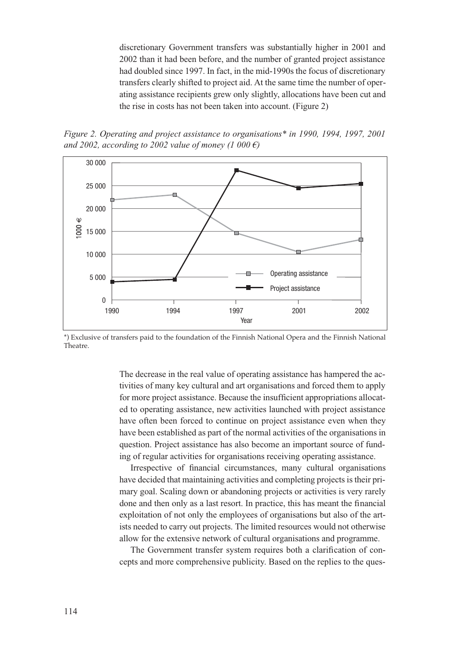discretionary Government transfers was substantially higher in 2001 and 2002 than it had been before, and the number of granted project assistance had doubled since 1997. In fact, in the mid-1990s the focus of discretionary transfers clearly shifted to project aid. At the same time the number of operating assistance recipients grew only slightly, allocations have been cut and the rise in costs has not been taken into account. (Figure 2)

*Figure 2. Operating and project assistance to organisations\* in 1990, 1994, 1997, 2001 and 2002, according to 2002 value of money (1 000 €)*



\*) Exclusive of transfers paid to the foundation of the Finnish National Opera and the Finnish National Theatre.

The decrease in the real value of operating assistance has hampered the activities of many key cultural and art organisations and forced them to apply for more project assistance. Because the insufficient appropriations allocated to operating assistance, new activities launched with project assistance have often been forced to continue on project assistance even when they have been established as part of the normal activities of the organisations in question. Project assistance has also become an important source of funding of regular activities for organisations receiving operating assistance.

Irrespective of financial circumstances, many cultural organisations have decided that maintaining activities and completing projects is their primary goal. Scaling down or abandoning projects or activities is very rarely done and then only as a last resort. In practice, this has meant the financial exploitation of not only the employees of organisations but also of the artists needed to carry out projects. The limited resources would not otherwise allow for the extensive network of cultural organisations and programme.

The Government transfer system requires both a clarification of concepts and more comprehensive publicity. Based on the replies to the ques